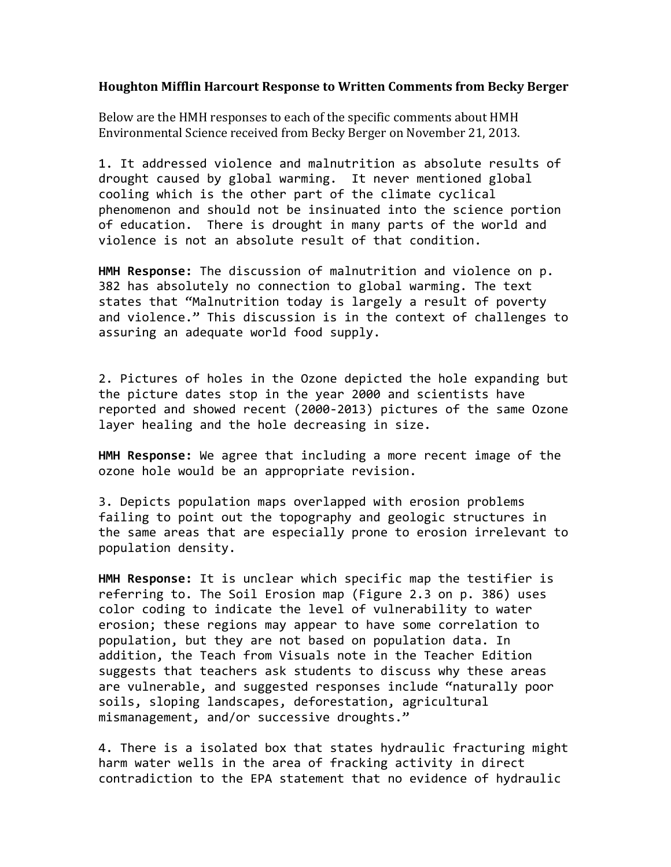## **Houghton Mifflin Harcourt Response to Written Comments from Becky Berger**

Below are the HMH responses to each of the specific comments about HMH Environmental Science received from Becky Berger on November 21, 2013.

1. It addressed violence and malnutrition as absolute results of drought caused by global warming. It never mentioned global cooling which is the other part of the climate cyclical phenomenon and should not be insinuated into the science portion of education. There is drought in many parts of the world and violence is not an absolute result of that condition.

**HMH Response:** The discussion of malnutrition and violence on p. 382 has absolutely no connection to global warming. The text states that "Malnutrition today is largely a result of poverty and violence." This discussion is in the context of challenges to assuring an adequate world food supply.

2. Pictures of holes in the Ozone depicted the hole expanding but the picture dates stop in the year 2000 and scientists have reported and showed recent (2000-2013) pictures of the same Ozone layer healing and the hole decreasing in size.

**HMH Response:** We agree that including a more recent image of the ozone hole would be an appropriate revision.

3. Depicts population maps overlapped with erosion problems failing to point out the topography and geologic structures in the same areas that are especially prone to erosion irrelevant to population density.

**HMH Response:** It is unclear which specific map the testifier is referring to. The Soil Erosion map (Figure 2.3 on p. 386) uses color coding to indicate the level of vulnerability to water erosion; these regions may appear to have some correlation to population, but they are not based on population data. In addition, the Teach from Visuals note in the Teacher Edition suggests that teachers ask students to discuss why these areas are vulnerable, and suggested responses include "naturally poor soils, sloping landscapes, deforestation, agricultural mismanagement, and/or successive droughts."

4. There is a isolated box that states hydraulic fracturing might harm water wells in the area of fracking activity in direct contradiction to the EPA statement that no evidence of hydraulic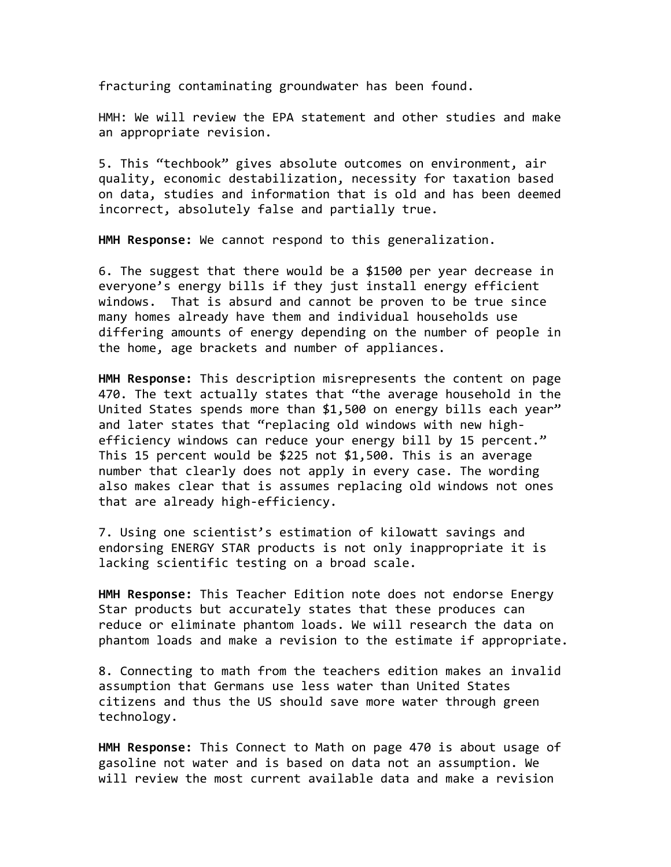fracturing contaminating groundwater has been found.

HMH: We will review the EPA statement and other studies and make an appropriate revision.

5. This "techbook" gives absolute outcomes on environment, air quality, economic destabilization, necessity for taxation based on data, studies and information that is old and has been deemed incorrect, absolutely false and partially true.

HMH Response: We cannot respond to this generalization.

6. The suggest that there would be a \$1500 per year decrease in everyone's energy bills if they just install energy efficient windows. That is absurd and cannot be proven to be true since many homes already have them and individual households use differing amounts of energy depending on the number of people in the home, age brackets and number of appliances.

HMH Response: This description misrepresents the content on page 470. The text actually states that "the average household in the United States spends more than \$1,500 on energy bills each year" and later states that "replacing old windows with new highefficiency windows can reduce your energy bill by 15 percent." This 15 percent would be \$225 not  $$1,500$ . This is an average number that clearly does not apply in every case. The wording also makes clear that is assumes replacing old windows not ones that are already high-efficiency.

7. Using one scientist's estimation of kilowatt savings and endorsing ENERGY STAR products is not only inappropriate it is lacking scientific testing on a broad scale.

**HMH Response:** This Teacher Edition note does not endorse Energy Star products but accurately states that these produces can reduce or eliminate phantom loads. We will research the data on phantom loads and make a revision to the estimate if appropriate.

8. Connecting to math from the teachers edition makes an invalid assumption that Germans use less water than United States citizens and thus the US should save more water through green technology.

**HMH Response:** This Connect to Math on page 470 is about usage of gasoline not water and is based on data not an assumption. We will review the most current available data and make a revision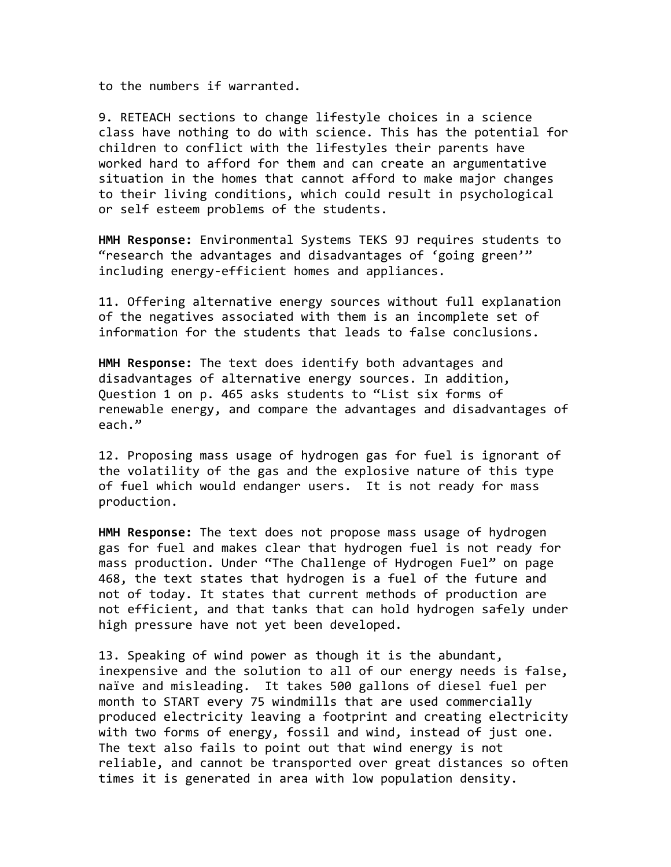to the numbers if warranted.

9. RETEACH sections to change lifestyle choices in a science class have nothing to do with science. This has the potential for children to conflict with the lifestyles their parents have worked hard to afford for them and can create an argumentative situation in the homes that cannot afford to make major changes to their living conditions, which could result in psychological or self esteem problems of the students.

**HMH Response:** Environmental Systems TEKS 9J requires students to "research the advantages and disadvantages of 'going green'" including energy-efficient homes and appliances.

11. Offering alternative energy sources without full explanation of the negatives associated with them is an incomplete set of information for the students that leads to false conclusions.

**HMH Response:** The text does identify both advantages and disadvantages of alternative energy sources. In addition, Question 1 on p. 465 asks students to "List six forms of renewable energy, and compare the advantages and disadvantages of each."

12. Proposing mass usage of hydrogen gas for fuel is ignorant of the volatility of the gas and the explosive nature of this type of fuel which would endanger users. It is not ready for mass production.

**HMH Response:** The text does not propose mass usage of hydrogen gas for fuel and makes clear that hydrogen fuel is not ready for mass production. Under "The Challenge of Hydrogen Fuel" on page 468, the text states that hydrogen is a fuel of the future and not of today. It states that current methods of production are not efficient, and that tanks that can hold hydrogen safely under high pressure have not yet been developed.

13. Speaking of wind power as though it is the abundant, inexpensive and the solution to all of our energy needs is false, naïve and misleading. It takes 500 gallons of diesel fuel per month to START every 75 windmills that are used commercially produced electricity leaving a footprint and creating electricity with two forms of energy, fossil and wind, instead of just one. The text also fails to point out that wind energy is not reliable, and cannot be transported over great distances so often times it is generated in area with low population density.